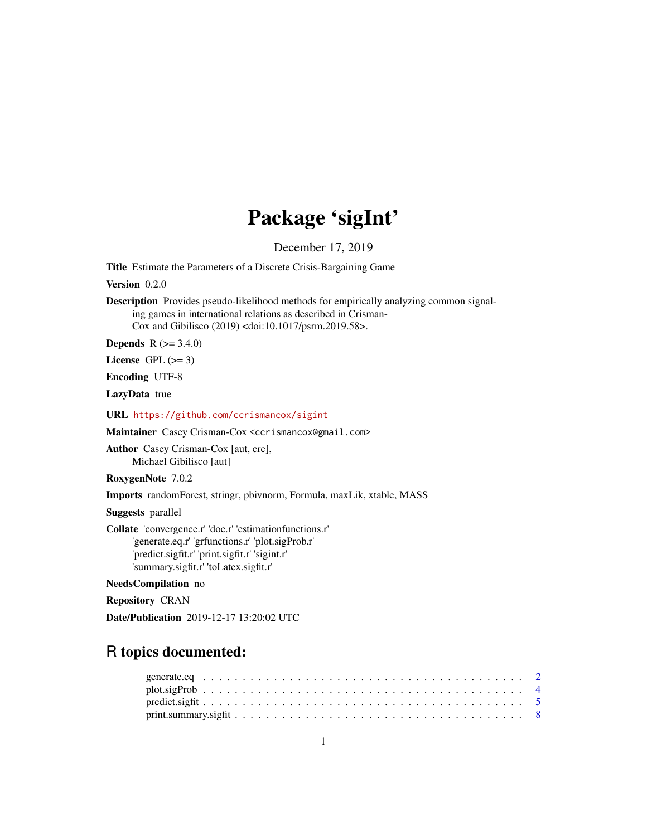# Package 'sigInt'

December 17, 2019

<span id="page-0-0"></span>Title Estimate the Parameters of a Discrete Crisis-Bargaining Game

Version 0.2.0

Description Provides pseudo-likelihood methods for empirically analyzing common signaling games in international relations as described in Crisman-Cox and Gibilisco (2019) <doi:10.1017/psrm.2019.58>.

**Depends** R  $(>= 3.4.0)$ 

License GPL  $(>= 3)$ 

Encoding UTF-8

LazyData true

URL <https://github.com/ccrismancox/sigint>

Maintainer Casey Crisman-Cox <ccrismancox@gmail.com>

Author Casey Crisman-Cox [aut, cre], Michael Gibilisco [aut]

RoxygenNote 7.0.2

Imports randomForest, stringr, pbivnorm, Formula, maxLik, xtable, MASS

Suggests parallel

Collate 'convergence.r' 'doc.r' 'estimationfunctions.r' 'generate.eq.r' 'grfunctions.r' 'plot.sigProb.r' 'predict.sigfit.r' 'print.sigfit.r' 'sigint.r' 'summary.sigfit.r' 'toLatex.sigfit.r'

NeedsCompilation no

Repository CRAN

Date/Publication 2019-12-17 13:20:02 UTC

## R topics documented: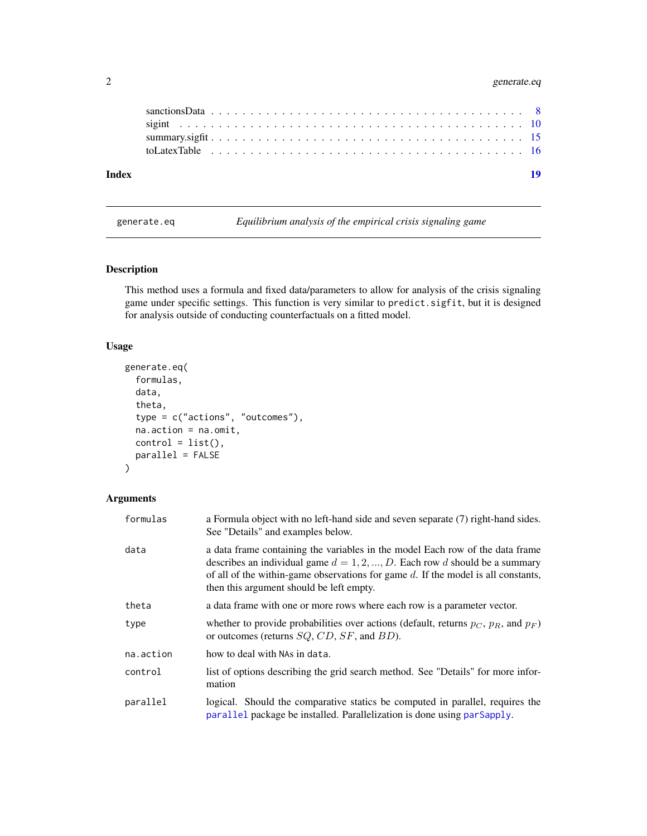### <span id="page-1-0"></span>2 generate.eq

| Index | 19 |
|-------|----|

<span id="page-1-1"></span>generate.eq *Equilibrium analysis of the empirical crisis signaling game*

#### Description

This method uses a formula and fixed data/parameters to allow for analysis of the crisis signaling game under specific settings. This function is very similar to predict.sigfit, but it is designed for analysis outside of conducting counterfactuals on a fitted model.

#### Usage

```
generate.eq(
 formulas,
  data,
  theta,
  type = c("actions", "outcomes"),
  na.action = na.omit,
 control = list(),
 parallel = FALSE
)
```
#### Arguments

| formulas  | a Formula object with no left-hand side and seven separate (7) right-hand sides.<br>See "Details" and examples below.                                                                                                                                                                              |
|-----------|----------------------------------------------------------------------------------------------------------------------------------------------------------------------------------------------------------------------------------------------------------------------------------------------------|
| data      | a data frame containing the variables in the model Each row of the data frame<br>describes an individual game $d = 1, 2, , D$ . Each row d should be a summary<br>of all of the within-game observations for game $d$ . If the model is all constants,<br>then this argument should be left empty. |
| theta     | a data frame with one or more rows where each row is a parameter vector.                                                                                                                                                                                                                           |
| type      | whether to provide probabilities over actions (default, returns $p_C$ , $p_R$ , and $p_F$ )<br>or outcomes (returns $SQ$ , $CD$ , $SF$ , and $BD$ ).                                                                                                                                               |
| na.action | how to deal with NAs in data.                                                                                                                                                                                                                                                                      |
| control   | list of options describing the grid search method. See "Details" for more infor-<br>mation                                                                                                                                                                                                         |
| parallel  | logical. Should the comparative statics be computed in parallel, requires the<br>parallel package be installed. Parallelization is done using parSapply.                                                                                                                                           |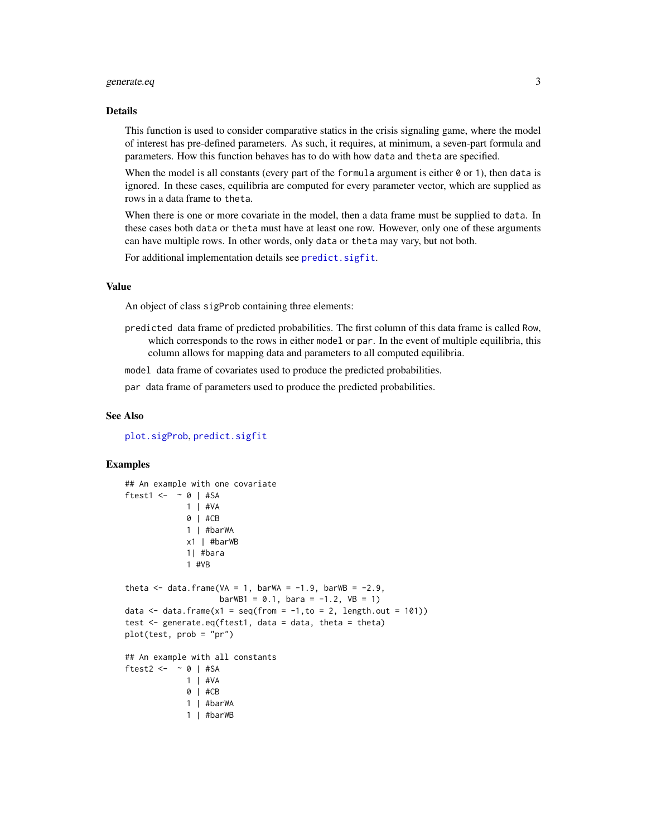#### <span id="page-2-0"></span>generate.eq 3

#### Details

This function is used to consider comparative statics in the crisis signaling game, where the model of interest has pre-defined parameters. As such, it requires, at minimum, a seven-part formula and parameters. How this function behaves has to do with how data and theta are specified.

When the model is all constants (every part of the formula argument is either  $\theta$  or 1), then data is ignored. In these cases, equilibria are computed for every parameter vector, which are supplied as rows in a data frame to theta.

When there is one or more covariate in the model, then a data frame must be supplied to data. In these cases both data or theta must have at least one row. However, only one of these arguments can have multiple rows. In other words, only data or theta may vary, but not both.

For additional implementation details see [predict.sigfit](#page-4-1).

#### Value

An object of class sigProb containing three elements:

predicted data frame of predicted probabilities. The first column of this data frame is called Row, which corresponds to the rows in either model or par. In the event of multiple equilibria, this column allows for mapping data and parameters to all computed equilibria.

model data frame of covariates used to produce the predicted probabilities.

par data frame of parameters used to produce the predicted probabilities.

#### See Also

[plot.sigProb](#page-3-1), [predict.sigfit](#page-4-1)

#### Examples

```
## An example with one covariate
ftest1 <- \sim 0 | #SA
             1 | #VA
             0 | #CB
             1 | #barWA
             x1 | #barWB
             1| #bara
             1 #VB
theta \le - data.frame(VA = 1, barWA = -1.9, barWB = -2.9,
                    barWB1 = 0.1, bara = -1.2, VB = 1data \le data.frame(x1 = seq(from = -1, to = 2, length.out = 101))
test <- generate.eq(ftest1, data = data, theta = theta)
plot(test, prob = "pr")
## An example with all constants
ftest2 <- \sim 0 | #SA
             1 | #VA
             0 | #CB
             1 | #barWA
             1 | #barWB
```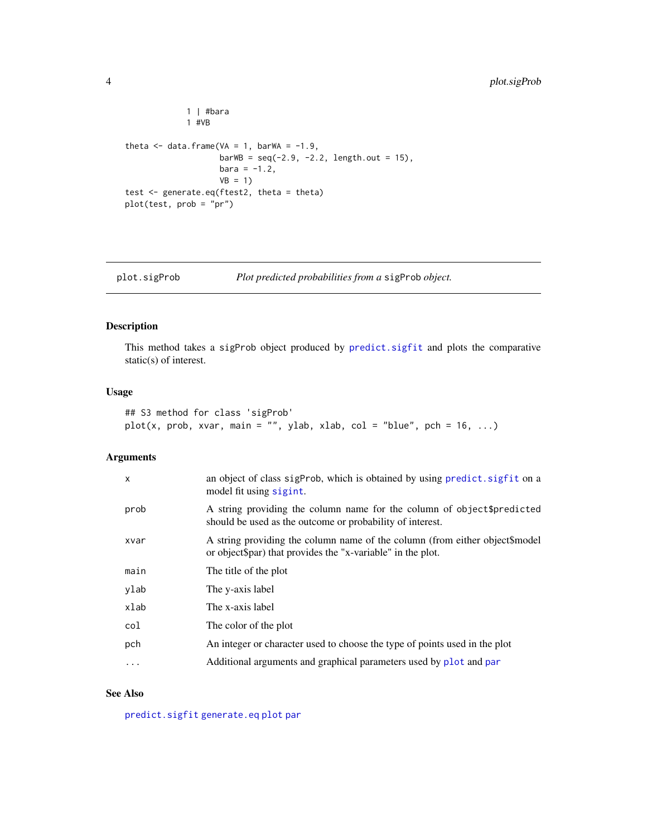```
1 | #bara
             1 #VB
theta \leq data.frame(VA = 1, barWA = -1.9,
                   barWB = seq(-2.9, -2.2, length.out = 15),
                    bara = -1.2,VB = 1)test <- generate.eq(ftest2, theta = theta)
plot(test, prob = "pr")
```
<span id="page-3-1"></span>

```
plot.sigProb Plot predicted probabilities from a sigProb object.
```
#### Description

This method takes a sigProb object produced by [predict.sigfit](#page-4-1) and plots the comparative static(s) of interest.

#### Usage

```
## S3 method for class 'sigProb'
plot(x, prob, xvar, main = "", ylab, xlab, col = "blue", pch = 16, ...)
```
#### Arguments

| an object of class sigProb, which is obtained by using predict. sigfit on a<br>model fit using sigint.                                     |
|--------------------------------------------------------------------------------------------------------------------------------------------|
| A string providing the column name for the column of object \$predicted<br>should be used as the outcome or probability of interest.       |
| A string providing the column name of the column (from either object\$model<br>or object spar) that provides the "x-variable" in the plot. |
| The title of the plot                                                                                                                      |
| The y-axis label                                                                                                                           |
| The x-axis label                                                                                                                           |
| The color of the plot                                                                                                                      |
| An integer or character used to choose the type of points used in the plot                                                                 |
| Additional arguments and graphical parameters used by plot and par                                                                         |
|                                                                                                                                            |

#### See Also

[predict.sigfit](#page-4-1) [generate.eq](#page-1-1) [plot](#page-0-0) [par](#page-0-0)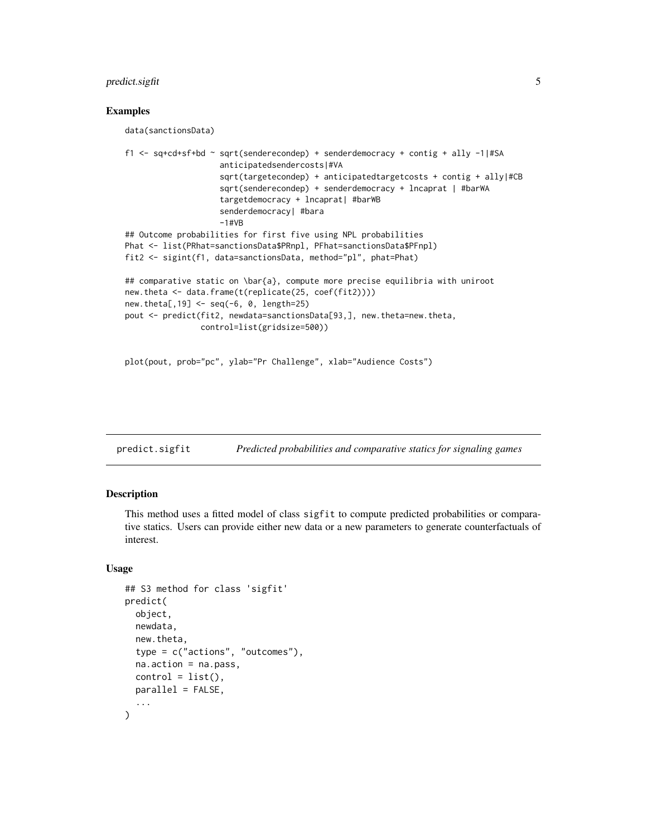#### <span id="page-4-0"></span>predict.sigfit 5

#### Examples

data(sanctionsData)

```
f1 <- sq+cd+sf+bd ~ sqrt(senderecondep) + senderdemocracy + contig + ally -1|#SA
                    anticipatedsendercosts|#VA
                    sqrt(targetecondep) + anticipatedtargetcosts + contig + ally|#CB
                    sqrt(senderecondep) + senderdemocracy + lncaprat | #barWA
                    targetdemocracy + lncaprat| #barWB
                    senderdemocracy| #bara
                    -1#VB
## Outcome probabilities for first five using NPL probabilities
Phat <- list(PRhat=sanctionsData$PRnpl, PFhat=sanctionsData$PFnpl)
fit2 <- sigint(f1, data=sanctionsData, method="pl", phat=Phat)
## comparative static on \bar{a}, compute more precise equilibria with uniroot
new.theta <- data.frame(t(replicate(25, coef(fit2))))
new.theta[,19] <- seq(-6, 0, length=25)
pout <- predict(fit2, newdata=sanctionsData[93,], new.theta=new.theta,
                control=list(gridsize=500))
```

```
plot(pout, prob="pc", ylab="Pr Challenge", xlab="Audience Costs")
```
<span id="page-4-1"></span>predict.sigfit *Predicted probabilities and comparative statics for signaling games*

#### Description

This method uses a fitted model of class sigfit to compute predicted probabilities or comparative statics. Users can provide either new data or a new parameters to generate counterfactuals of interest.

#### Usage

```
## S3 method for class 'sigfit'
predict(
 object,
  newdata,
  new.theta,
  type = c("actions", "outcomes"),
  na.action = na.pass,
  control = list(),
 parallel = FALSE,
  ...
)
```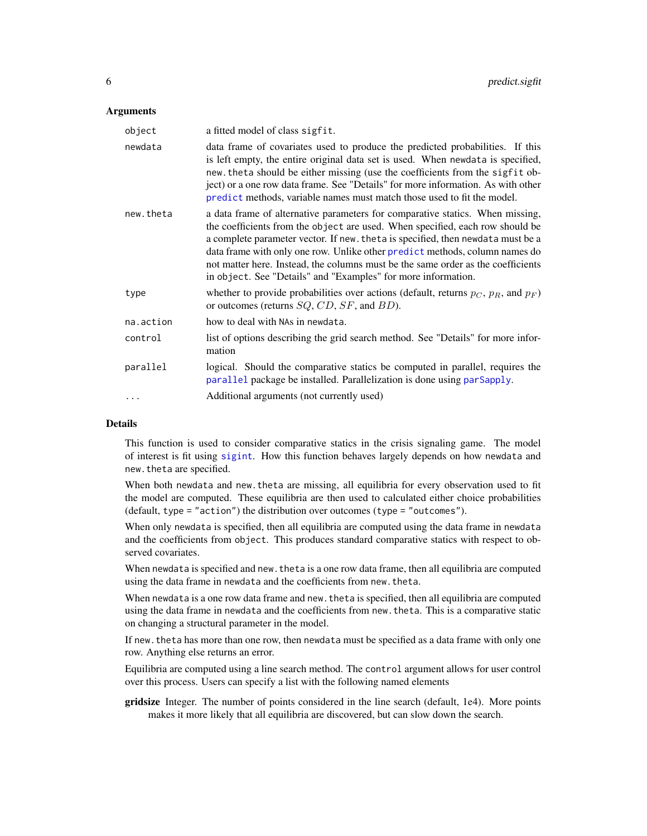#### <span id="page-5-0"></span>**Arguments**

| object    | a fitted model of class sigfit.                                                                                                                                                                                                                                                                                                                                                                                                                                                        |
|-----------|----------------------------------------------------------------------------------------------------------------------------------------------------------------------------------------------------------------------------------------------------------------------------------------------------------------------------------------------------------------------------------------------------------------------------------------------------------------------------------------|
| newdata   | data frame of covariates used to produce the predicted probabilities. If this<br>is left empty, the entire original data set is used. When newdata is specified,<br>new. theta should be either missing (use the coefficients from the sigfit ob-<br>ject) or a one row data frame. See "Details" for more information. As with other<br>predict methods, variable names must match those used to fit the model.                                                                       |
| new.theta | a data frame of alternative parameters for comparative statics. When missing,<br>the coefficients from the object are used. When specified, each row should be<br>a complete parameter vector. If new. the ta is specified, then newdata must be a<br>data frame with only one row. Unlike other predict methods, column names do<br>not matter here. Instead, the columns must be the same order as the coefficients<br>in object. See "Details" and "Examples" for more information. |
| type      | whether to provide probabilities over actions (default, returns $p_C$ , $p_R$ , and $p_F$ )<br>or outcomes (returns $SQ$ , $CD$ , $SF$ , and $BD$ ).                                                                                                                                                                                                                                                                                                                                   |
| na.action | how to deal with NAs in newdata.                                                                                                                                                                                                                                                                                                                                                                                                                                                       |
| control   | list of options describing the grid search method. See "Details" for more infor-<br>mation                                                                                                                                                                                                                                                                                                                                                                                             |
| parallel  | logical. Should the comparative statics be computed in parallel, requires the<br>parallel package be installed. Parallelization is done using parSapply.                                                                                                                                                                                                                                                                                                                               |
| $\cdots$  | Additional arguments (not currently used)                                                                                                                                                                                                                                                                                                                                                                                                                                              |

#### Details

This function is used to consider comparative statics in the crisis signaling game. The model of interest is fit using [sigint](#page-9-1). How this function behaves largely depends on how newdata and new.theta are specified.

When both newdata and new.theta are missing, all equilibria for every observation used to fit the model are computed. These equilibria are then used to calculated either choice probabilities (default, type = "action") the distribution over outcomes (type = "outcomes").

When only newdata is specified, then all equilibria are computed using the data frame in newdata and the coefficients from object. This produces standard comparative statics with respect to observed covariates.

When newdata is specified and new.theta is a one row data frame, then all equilibria are computed using the data frame in newdata and the coefficients from new.theta.

When newdata is a one row data frame and new.theta is specified, then all equilibria are computed using the data frame in newdata and the coefficients from new.theta. This is a comparative static on changing a structural parameter in the model.

If new. the ta has more than one row, then newdata must be specified as a data frame with only one row. Anything else returns an error.

Equilibria are computed using a line search method. The control argument allows for user control over this process. Users can specify a list with the following named elements

gridsize Integer. The number of points considered in the line search (default, 1e4). More points makes it more likely that all equilibria are discovered, but can slow down the search.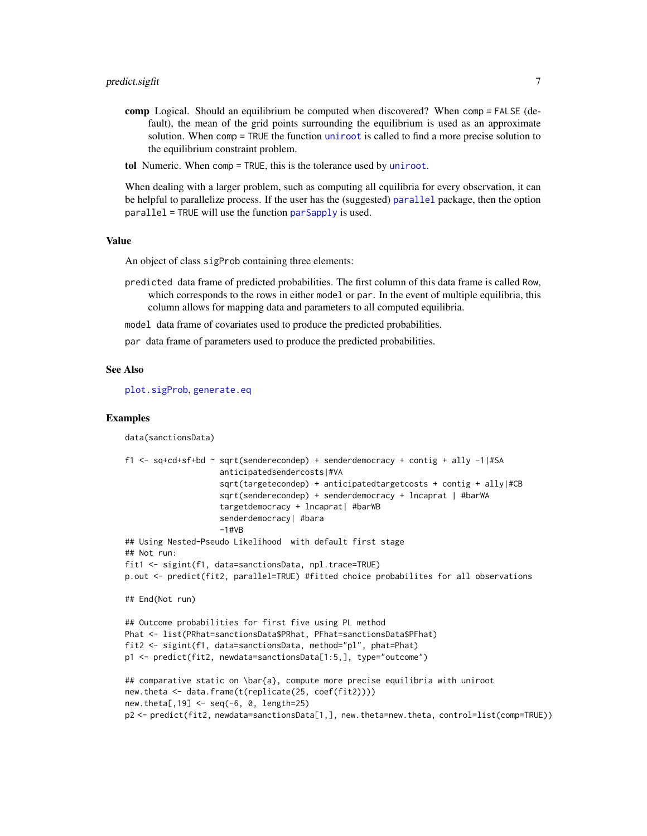- <span id="page-6-0"></span>comp Logical. Should an equilibrium be computed when discovered? When comp = FALSE (default), the mean of the grid points surrounding the equilibrium is used as an approximate solution. When comp = TRUE the function [uniroot](#page-0-0) is called to find a more precise solution to the equilibrium constraint problem.
- tol Numeric. When comp = TRUE, this is the tolerance used by [uniroot](#page-0-0).

When dealing with a larger problem, such as computing all equilibria for every observation, it can be helpful to parallelize process. If the user has the (suggested) [parallel](#page-0-0) package, then the option parallel = TRUE will use the function [parSapply](#page-0-0) is used.

#### Value

An object of class sigProb containing three elements:

- predicted data frame of predicted probabilities. The first column of this data frame is called Row, which corresponds to the rows in either model or par. In the event of multiple equilibria, this column allows for mapping data and parameters to all computed equilibria.
- model data frame of covariates used to produce the predicted probabilities.

par data frame of parameters used to produce the predicted probabilities.

#### See Also

[plot.sigProb](#page-3-1), [generate.eq](#page-1-1)

#### Examples

```
data(sanctionsData)
f1 <- sq+cd+sf+bd ~ sqrt(senderecondep) + senderdemocracy + contig + ally -1|#SA
                    anticipatedsendercosts|#VA
                    sqrt(targetecondep) + anticipatedtargetcosts + contig + ally|#CB
                    sqrt(senderecondep) + senderdemocracy + lncaprat | #barWA
                    targetdemocracy + lncaprat| #barWB
                    senderdemocracy| #bara
                    -1#VR
## Using Nested-Pseudo Likelihood with default first stage
## Not run:
fit1 <- sigint(f1, data=sanctionsData, npl.trace=TRUE)
p.out <- predict(fit2, parallel=TRUE) #fitted choice probabilites for all observations
## End(Not run)
## Outcome probabilities for first five using PL method
Phat <- list(PRhat=sanctionsData$PRhat, PFhat=sanctionsData$PFhat)
fit2 <- sigint(f1, data=sanctionsData, method="pl", phat=Phat)
p1 <- predict(fit2, newdata=sanctionsData[1:5,], type="outcome")
## comparative static on \bar{a}, compute more precise equilibria with uniroot
new.theta <- data.frame(t(replicate(25, coef(fit2))))
new.theta[,19] <- seq(-6, 0, length=25)
p2 <- predict(fit2, newdata=sanctionsData[1,], new.theta=new.theta, control=list(comp=TRUE))
```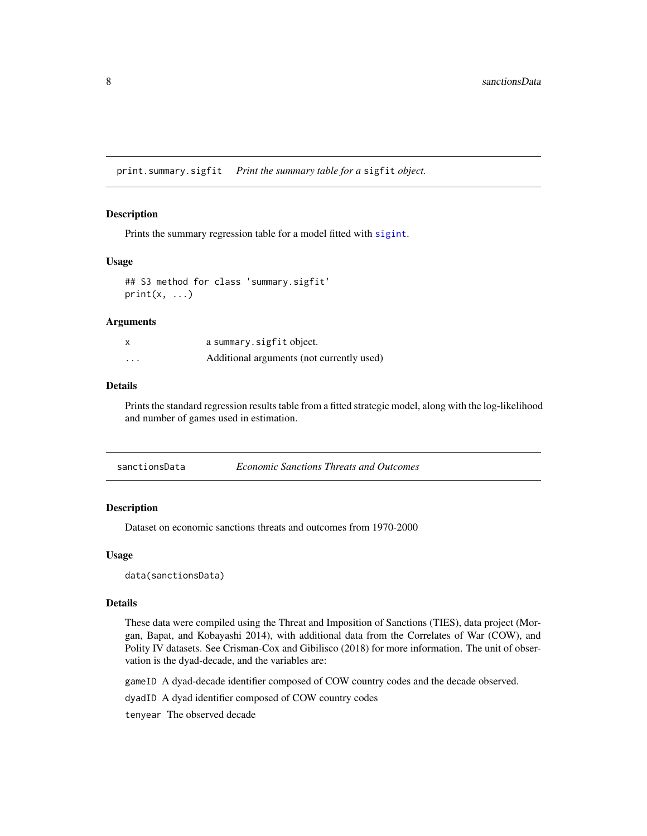<span id="page-7-1"></span><span id="page-7-0"></span>print.summary.sigfit *Print the summary table for a* sigfit *object.*

#### Description

Prints the summary regression table for a model fitted with [sigint](#page-9-1).

#### Usage

```
## S3 method for class 'summary.sigfit'
print(x, \ldots)
```
#### Arguments

| $\boldsymbol{\mathsf{x}}$ | a summary.sigfit object.                  |
|---------------------------|-------------------------------------------|
| $\cdots$                  | Additional arguments (not currently used) |

#### Details

Prints the standard regression results table from a fitted strategic model, along with the log-likelihood and number of games used in estimation.

#### Description

Dataset on economic sanctions threats and outcomes from 1970-2000

#### Usage

data(sanctionsData)

#### Details

These data were compiled using the Threat and Imposition of Sanctions (TIES), data project (Morgan, Bapat, and Kobayashi 2014), with additional data from the Correlates of War (COW), and Polity IV datasets. See Crisman-Cox and Gibilisco (2018) for more information. The unit of observation is the dyad-decade, and the variables are:

gameID A dyad-decade identifier composed of COW country codes and the decade observed.

dyadID A dyad identifier composed of COW country codes

tenyear The observed decade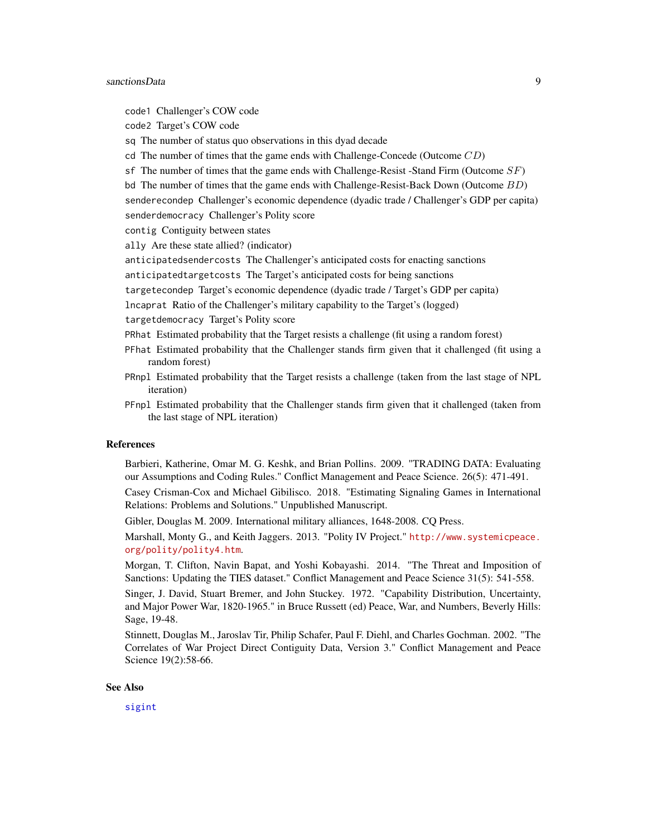#### <span id="page-8-0"></span>sanctionsData 9

code1 Challenger's COW code code2 Target's COW code sq The number of status quo observations in this dyad decade cd The number of times that the game ends with Challenge-Concede (Outcome  $CD$ ) sf The number of times that the game ends with Challenge-Resist -Stand Firm (Outcome  $SF$ ) bd The number of times that the game ends with Challenge-Resist-Back Down (Outcome BD) senderecondep Challenger's economic dependence (dyadic trade / Challenger's GDP per capita) senderdemocracy Challenger's Polity score contig Contiguity between states ally Are these state allied? (indicator) anticipatedsendercosts The Challenger's anticipated costs for enacting sanctions anticipatedtargetcosts The Target's anticipated costs for being sanctions targetecondep Target's economic dependence (dyadic trade / Target's GDP per capita) lncaprat Ratio of the Challenger's military capability to the Target's (logged) targetdemocracy Target's Polity score PRhat Estimated probability that the Target resists a challenge (fit using a random forest) PFhat Estimated probability that the Challenger stands firm given that it challenged (fit using a random forest)

- PRnpl Estimated probability that the Target resists a challenge (taken from the last stage of NPL iteration)
- PFnpl Estimated probability that the Challenger stands firm given that it challenged (taken from the last stage of NPL iteration)

#### References

Barbieri, Katherine, Omar M. G. Keshk, and Brian Pollins. 2009. "TRADING DATA: Evaluating our Assumptions and Coding Rules." Conflict Management and Peace Science. 26(5): 471-491.

Casey Crisman-Cox and Michael Gibilisco. 2018. "Estimating Signaling Games in International Relations: Problems and Solutions." Unpublished Manuscript.

Gibler, Douglas M. 2009. International military alliances, 1648-2008. CQ Press.

Marshall, Monty G., and Keith Jaggers. 2013. "Polity IV Project." [http://www.systemicpeace.](http://www.systemicpeace.org/polity/polity4.htm) [org/polity/polity4.htm](http://www.systemicpeace.org/polity/polity4.htm).

Morgan, T. Clifton, Navin Bapat, and Yoshi Kobayashi. 2014. "The Threat and Imposition of Sanctions: Updating the TIES dataset." Conflict Management and Peace Science 31(5): 541-558.

Singer, J. David, Stuart Bremer, and John Stuckey. 1972. "Capability Distribution, Uncertainty, and Major Power War, 1820-1965." in Bruce Russett (ed) Peace, War, and Numbers, Beverly Hills: Sage, 19-48.

Stinnett, Douglas M., Jaroslav Tir, Philip Schafer, Paul F. Diehl, and Charles Gochman. 2002. "The Correlates of War Project Direct Contiguity Data, Version 3." Conflict Management and Peace Science 19(2):58-66.

#### See Also

[sigint](#page-9-1)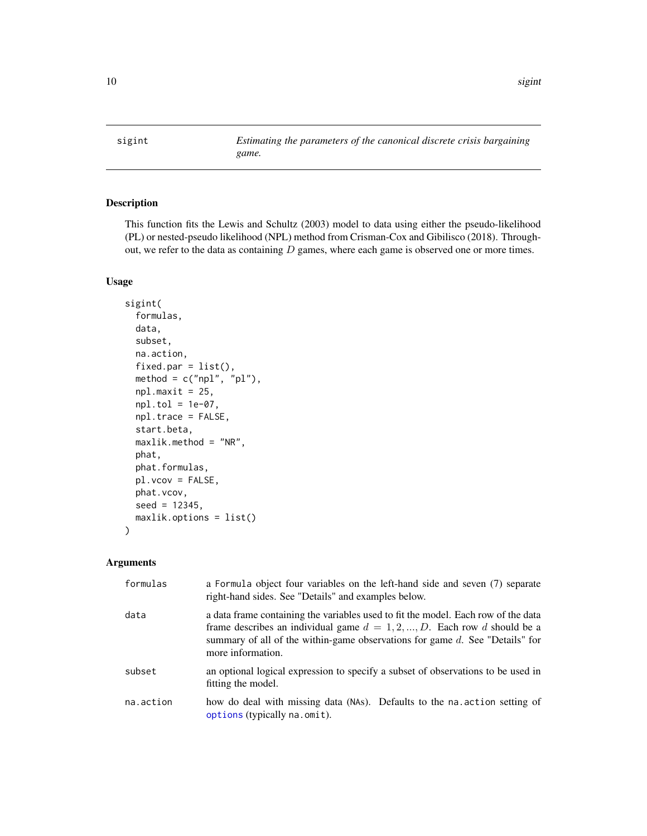<span id="page-9-1"></span><span id="page-9-0"></span>sigint *Estimating the parameters of the canonical discrete crisis bargaining game.*

#### Description

This function fits the Lewis and Schultz (2003) model to data using either the pseudo-likelihood (PL) or nested-pseudo likelihood (NPL) method from Crisman-Cox and Gibilisco (2018). Throughout, we refer to the data as containing  $D$  games, where each game is observed one or more times.

#### Usage

```
sigint(
  formulas,
  data,
  subset,
 na.action,
  fixed.par = list(),
 method = c("npl", "pl"),
 npl.maxit = 25,
 npl.tol = 1e-07,
 npl.trace = FALSE,
  start.beta,
 maxlik.method = "NR",
 phat,
 phat.formulas,
 pl.vcov = FALSE,
 phat.vcov,
  seed = 12345,maxlik.options = list()
)
```
#### Arguments

| formulas  | a Formula object four variables on the left-hand side and seven (7) separate<br>right-hand sides. See "Details" and examples below.                                                                                                                                      |
|-----------|--------------------------------------------------------------------------------------------------------------------------------------------------------------------------------------------------------------------------------------------------------------------------|
| data      | a data frame containing the variables used to fit the model. Each row of the data<br>frame describes an individual game $d = 1, 2, , D$ . Each row d should be a<br>summary of all of the within-game observations for game $d$ . See "Details" for<br>more information. |
| subset    | an optional logical expression to specify a subset of observations to be used in<br>fitting the model.                                                                                                                                                                   |
| na.action | how do deal with missing data (NAs). Defaults to the nation setting of<br>options (typically na.omit).                                                                                                                                                                   |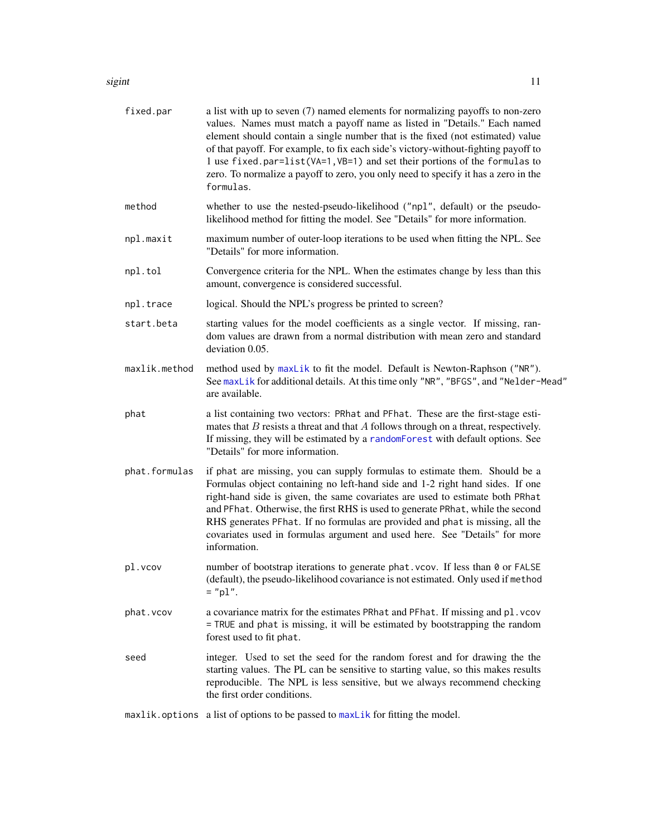#### <span id="page-10-0"></span>sigint the state of the state of the state of the state of the state of the state of the state of the state of the state of the state of the state of the state of the state of the state of the state of the state of the sta

| fixed.par     | a list with up to seven (7) named elements for normalizing payoffs to non-zero<br>values. Names must match a payoff name as listed in "Details." Each named<br>element should contain a single number that is the fixed (not estimated) value<br>of that payoff. For example, to fix each side's victory-without-fighting payoff to<br>1 use fixed.par=list(VA=1,VB=1) and set their portions of the formulas to<br>zero. To normalize a payoff to zero, you only need to specify it has a zero in the<br>formulas. |
|---------------|---------------------------------------------------------------------------------------------------------------------------------------------------------------------------------------------------------------------------------------------------------------------------------------------------------------------------------------------------------------------------------------------------------------------------------------------------------------------------------------------------------------------|
| method        | whether to use the nested-pseudo-likelihood ("np1", default) or the pseudo-<br>likelihood method for fitting the model. See "Details" for more information.                                                                                                                                                                                                                                                                                                                                                         |
| npl.maxit     | maximum number of outer-loop iterations to be used when fitting the NPL. See<br>"Details" for more information.                                                                                                                                                                                                                                                                                                                                                                                                     |
| npl.tol       | Convergence criteria for the NPL. When the estimates change by less than this<br>amount, convergence is considered successful.                                                                                                                                                                                                                                                                                                                                                                                      |
| npl.trace     | logical. Should the NPL's progress be printed to screen?                                                                                                                                                                                                                                                                                                                                                                                                                                                            |
| start.beta    | starting values for the model coefficients as a single vector. If missing, ran-<br>dom values are drawn from a normal distribution with mean zero and standard<br>deviation 0.05.                                                                                                                                                                                                                                                                                                                                   |
| maxlik.method | method used by maxLik to fit the model. Default is Newton-Raphson ("NR").<br>See maxLik for additional details. At this time only "NR", "BFGS", and "Nelder-Mead"<br>are available.                                                                                                                                                                                                                                                                                                                                 |
| phat          | a list containing two vectors: PRhat and PFhat. These are the first-stage esti-<br>mates that $B$ resists a threat and that $A$ follows through on a threat, respectively.<br>If missing, they will be estimated by a randomForest with default options. See<br>"Details" for more information.                                                                                                                                                                                                                     |
| phat.formulas | if phat are missing, you can supply formulas to estimate them. Should be a<br>Formulas object containing no left-hand side and 1-2 right hand sides. If one<br>right-hand side is given, the same covariates are used to estimate both PRhat<br>and PFhat. Otherwise, the first RHS is used to generate PRhat, while the second<br>RHS generates PFhat. If no formulas are provided and phat is missing, all the<br>covariates used in formulas argument and used here. See "Details" for more<br>information.      |
| pl.vcov       | number of bootstrap iterations to generate phat. vcov. If less than 0 or FALSE<br>(default), the pseudo-likelihood covariance is not estimated. Only used if method<br>$=$ "pl".                                                                                                                                                                                                                                                                                                                                    |
| phat.vcov     | a covariance matrix for the estimates PRhat and PFhat. If missing and pl. vcov<br>= TRUE and phat is missing, it will be estimated by bootstrapping the random<br>forest used to fit phat.                                                                                                                                                                                                                                                                                                                          |
| seed          | integer. Used to set the seed for the random forest and for drawing the the<br>starting values. The PL can be sensitive to starting value, so this makes results<br>reproducible. The NPL is less sensitive, but we always recommend checking<br>the first order conditions.                                                                                                                                                                                                                                        |
|               |                                                                                                                                                                                                                                                                                                                                                                                                                                                                                                                     |

maxlik.options a list of options to be passed to [maxLik](#page-0-0) for fitting the model.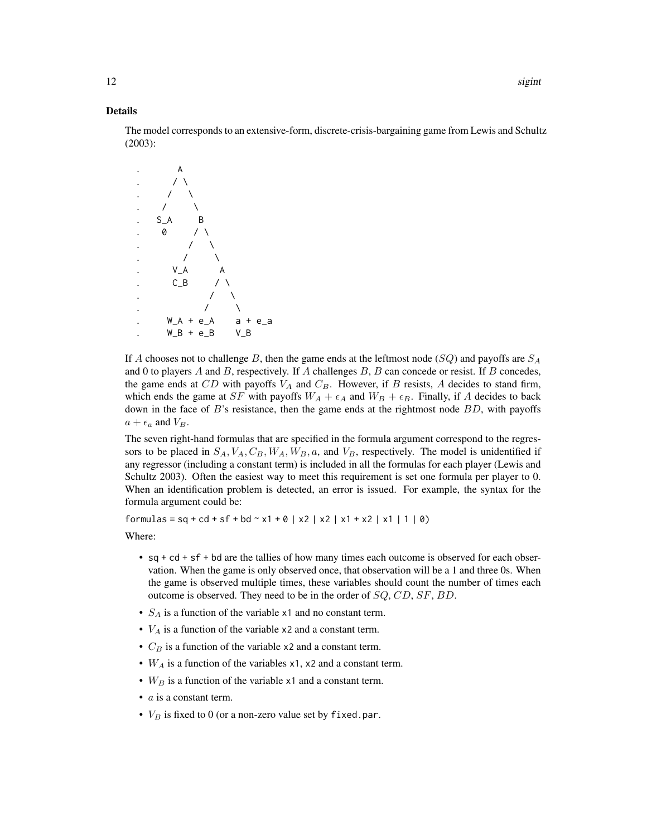#### Details

The model corresponds to an extensive-form, discrete-crisis-bargaining game from Lewis and Schultz (2003):



If A chooses not to challenge B, then the game ends at the leftmost node  $(SQ)$  and payoffs are  $S_A$ and 0 to players  $A$  and  $B$ , respectively. If  $A$  challenges  $B$ ,  $B$  can concede or resist. If  $B$  concedes, the game ends at CD with payoffs  $V_A$  and  $C_B$ . However, if B resists, A decides to stand firm, which ends the game at SF with payoffs  $W_A + \epsilon_A$  and  $W_B + \epsilon_B$ . Finally, if A decides to back down in the face of  $B$ 's resistance, then the game ends at the rightmost node  $BD$ , with payoffs  $a + \epsilon_a$  and  $V_B$ .

The seven right-hand formulas that are specified in the formula argument correspond to the regressors to be placed in  $S_A$ ,  $V_A$ ,  $C_B$ ,  $W_A$ ,  $W_B$ ,  $a$ , and  $V_B$ , respectively. The model is unidentified if any regressor (including a constant term) is included in all the formulas for each player (Lewis and Schultz 2003). Often the easiest way to meet this requirement is set one formula per player to 0. When an identification problem is detected, an error is issued. For example, the syntax for the formula argument could be:

formulas = sq + cd + sf + bd ~ x1 + 0 | x2 | x2 | x1 + x2 | x1 | 1 | 0)

Where:

- sq + cd + sf + bd are the tallies of how many times each outcome is observed for each observation. When the game is only observed once, that observation will be a 1 and three 0s. When the game is observed multiple times, these variables should count the number of times each outcome is observed. They need to be in the order of SQ, CD, SF, BD.
- $S_A$  is a function of the variable x1 and no constant term.
- $V_A$  is a function of the variable x2 and a constant term.
- $C_B$  is a function of the variable x2 and a constant term.
- $W_A$  is a function of the variables x1, x2 and a constant term.
- $W_B$  is a function of the variable x1 and a constant term.
- $a$  is a constant term.
- $V_B$  is fixed to 0 (or a non-zero value set by fixed.par.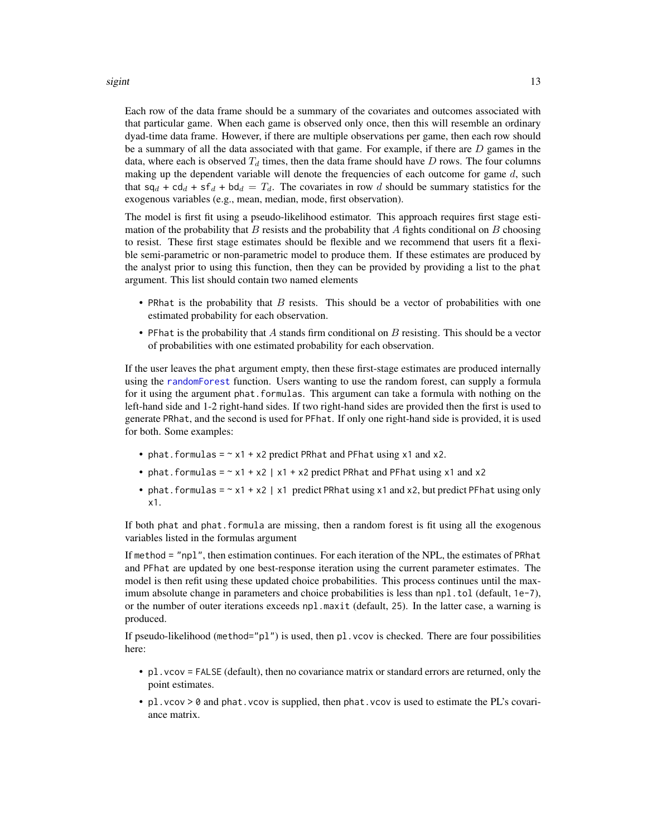#### <span id="page-12-0"></span>sigint the state of the state of the state of the state of the state of the state of the state of the state of the state of the state of the state of the state of the state of the state of the state of the state of the sta

Each row of the data frame should be a summary of the covariates and outcomes associated with that particular game. When each game is observed only once, then this will resemble an ordinary dyad-time data frame. However, if there are multiple observations per game, then each row should be a summary of all the data associated with that game. For example, if there are  $D$  games in the data, where each is observed  $T_d$  times, then the data frame should have  $D$  rows. The four columns making up the dependent variable will denote the frequencies of each outcome for game  $d$ , such that  $sq_d + cd_d + sf_d + bd_d = T_d$ . The covariates in row d should be summary statistics for the exogenous variables (e.g., mean, median, mode, first observation).

The model is first fit using a pseudo-likelihood estimator. This approach requires first stage estimation of the probability that  $B$  resists and the probability that  $A$  fights conditional on  $B$  choosing to resist. These first stage estimates should be flexible and we recommend that users fit a flexible semi-parametric or non-parametric model to produce them. If these estimates are produced by the analyst prior to using this function, then they can be provided by providing a list to the phat argument. This list should contain two named elements

- PRhat is the probability that  $B$  resists. This should be a vector of probabilities with one estimated probability for each observation.
- PFhat is the probability that A stands firm conditional on B resisting. This should be a vector of probabilities with one estimated probability for each observation.

If the user leaves the phat argument empty, then these first-stage estimates are produced internally using the [randomForest](#page-0-0) function. Users wanting to use the random forest, can supply a formula for it using the argument phat.formulas. This argument can take a formula with nothing on the left-hand side and 1-2 right-hand sides. If two right-hand sides are provided then the first is used to generate PRhat, and the second is used for PFhat. If only one right-hand side is provided, it is used for both. Some examples:

- phat. formulas  $= \gamma x_1 + x_2$  predict PRhat and PF hat using x1 and x2.
- phat.formulas =  $\sim x1 + x2$  |  $x1 + x2$  predict PRhat and PFhat using x1 and x2
- phat. formulas =  $\sim x1 + x2$  | x1 predict PRhat using x1 and x2, but predict PFhat using only x1.

If both phat and phat.formula are missing, then a random forest is fit using all the exogenous variables listed in the formulas argument

If method = "npl", then estimation continues. For each iteration of the NPL, the estimates of PRhat and PFhat are updated by one best-response iteration using the current parameter estimates. The model is then refit using these updated choice probabilities. This process continues until the maximum absolute change in parameters and choice probabilities is less than  $npl$ . tol (default,  $1e-7$ ), or the number of outer iterations exceeds npl.maxit (default, 25). In the latter case, a warning is produced.

If pseudo-likelihood (method="pl") is used, then pl. vcov is checked. There are four possibilities here:

- pl.vcov = FALSE (default), then no covariance matrix or standard errors are returned, only the point estimates.
- pl.vcov > 0 and phat.vcov is supplied, then phat.vcov is used to estimate the PL's covariance matrix.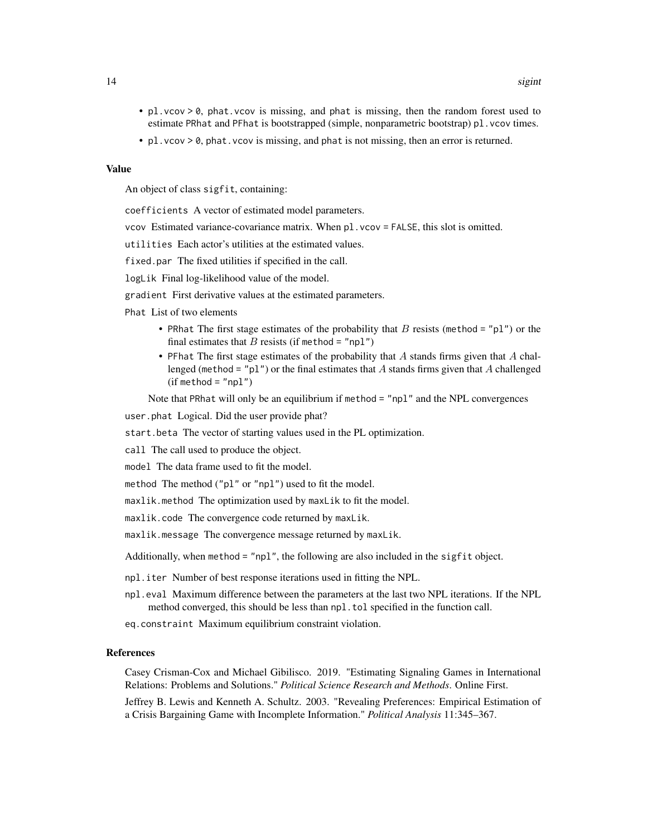- pl. vcov >  $\theta$ , phat. vcov is missing, and phat is missing, then the random forest used to estimate PRhat and PFhat is bootstrapped (simple, nonparametric bootstrap) pl. vcov times.
- pl. vcov > 0, phat. vcov is missing, and phat is not missing, then an error is returned.

#### Value

An object of class sigfit, containing:

coefficients A vector of estimated model parameters.

vcov Estimated variance-covariance matrix. When pl.vcov = FALSE, this slot is omitted.

utilities Each actor's utilities at the estimated values.

fixed.par The fixed utilities if specified in the call.

logLik Final log-likelihood value of the model.

gradient First derivative values at the estimated parameters.

Phat List of two elements

- PRhat The first stage estimates of the probability that  $B$  resists (method = "p1") or the final estimates that  $B$  resists (if method = "npl")
- PFhat The first stage estimates of the probability that  $\vec{A}$  stands firms given that  $\vec{A}$  challenged (method = "pl") or the final estimates that A stands firms given that A challenged  $(if method = "np1")$

Note that PRhat will only be an equilibrium if method = "npl" and the NPL convergences

user.phat Logical. Did the user provide phat?

start.beta The vector of starting values used in the PL optimization.

call The call used to produce the object.

model The data frame used to fit the model.

method The method ("pl" or "npl") used to fit the model.

maxlik.method The optimization used by maxLik to fit the model.

maxlik.code The convergence code returned by maxLik.

maxlik.message The convergence message returned by maxLik.

Additionally, when method = "npl", the following are also included in the sigfit object.

npl.iter Number of best response iterations used in fitting the NPL.

- npl.eval Maximum difference between the parameters at the last two NPL iterations. If the NPL method converged, this should be less than npl.tol specified in the function call.
- eq.constraint Maximum equilibrium constraint violation.

#### References

Casey Crisman-Cox and Michael Gibilisco. 2019. "Estimating Signaling Games in International Relations: Problems and Solutions." *Political Science Research and Methods*. Online First.

Jeffrey B. Lewis and Kenneth A. Schultz. 2003. "Revealing Preferences: Empirical Estimation of a Crisis Bargaining Game with Incomplete Information." *Political Analysis* 11:345–367.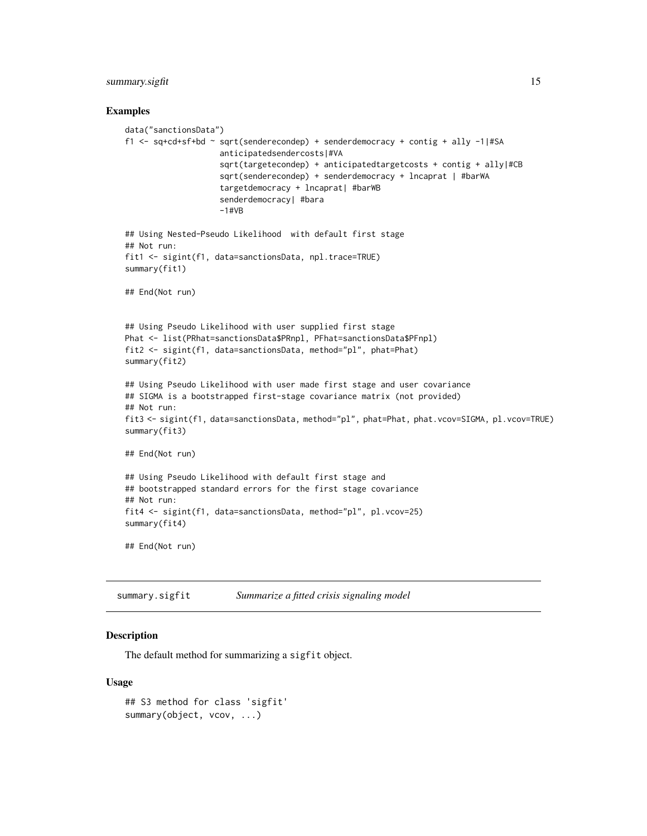#### <span id="page-14-0"></span>summary.sigfit 15

#### Examples

```
data("sanctionsData")
f1 <- sq+cd+sf+bd ~ sqrt(senderecondep) + senderdemocracy + contig + ally -1|#SA
                    anticipatedsendercosts|#VA
                    sqrt(targetecondep) + anticipatedtargetcosts + contig + ally|#CB
                    sqrt(senderecondep) + senderdemocracy + lncaprat | #barWA
                    targetdemocracy + lncaprat| #barWB
                    senderdemocracy| #bara
                    -1#VB
## Using Nested-Pseudo Likelihood with default first stage
## Not run:
fit1 <- sigint(f1, data=sanctionsData, npl.trace=TRUE)
summary(fit1)
## End(Not run)
## Using Pseudo Likelihood with user supplied first stage
Phat <- list(PRhat=sanctionsData$PRnpl, PFhat=sanctionsData$PFnpl)
fit2 <- sigint(f1, data=sanctionsData, method="pl", phat=Phat)
summary(fit2)
## Using Pseudo Likelihood with user made first stage and user covariance
## SIGMA is a bootstrapped first-stage covariance matrix (not provided)
## Not run:
fit3 <- sigint(f1, data=sanctionsData, method="pl", phat=Phat, phat.vcov=SIGMA, pl.vcov=TRUE)
summary(fit3)
## End(Not run)
## Using Pseudo Likelihood with default first stage and
## bootstrapped standard errors for the first stage covariance
## Not run:
fit4 <- sigint(f1, data=sanctionsData, method="pl", pl.vcov=25)
summary(fit4)
## End(Not run)
```
summary.sigfit *Summarize a fitted crisis signaling model*

#### **Description**

The default method for summarizing a sigfit object.

#### Usage

```
## S3 method for class 'sigfit'
summary(object, vcov, ...)
```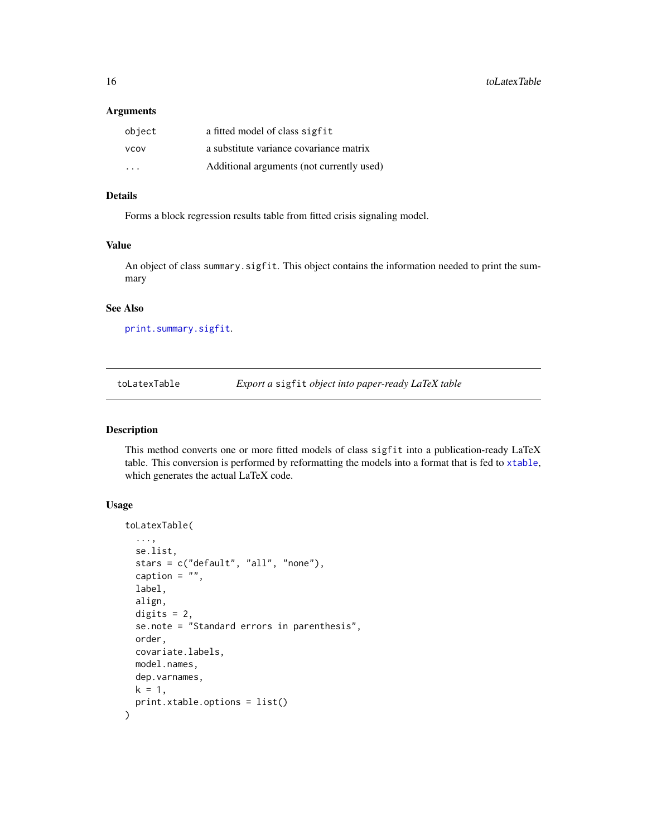#### <span id="page-15-0"></span>Arguments

| object                  | a fitted model of class sigfit            |
|-------------------------|-------------------------------------------|
| <b>VCOV</b>             | a substitute variance covariance matrix   |
| $\cdot$ $\cdot$ $\cdot$ | Additional arguments (not currently used) |

#### Details

Forms a block regression results table from fitted crisis signaling model.

#### Value

An object of class summary.sigfit. This object contains the information needed to print the summary

#### See Also

[print.summary.sigfit](#page-7-1).

toLatexTable *Export a* sigfit *object into paper-ready LaTeX table*

#### Description

This method converts one or more fitted models of class sigfit into a publication-ready LaTeX table. This conversion is performed by reformatting the models into a format that is fed to [xtable](#page-0-0), which generates the actual LaTeX code.

#### Usage

```
toLatexTable(
  ...,
  se.list,
  stars = c("default", "all", "none"),
  caption = ",
 label,
  align,
 digits = 2,
  se.note = "Standard errors in parenthesis",
 order,
  covariate.labels,
 model.names,
 dep.varnames,
 k = 1,
 print.xtable.options = list()
)
```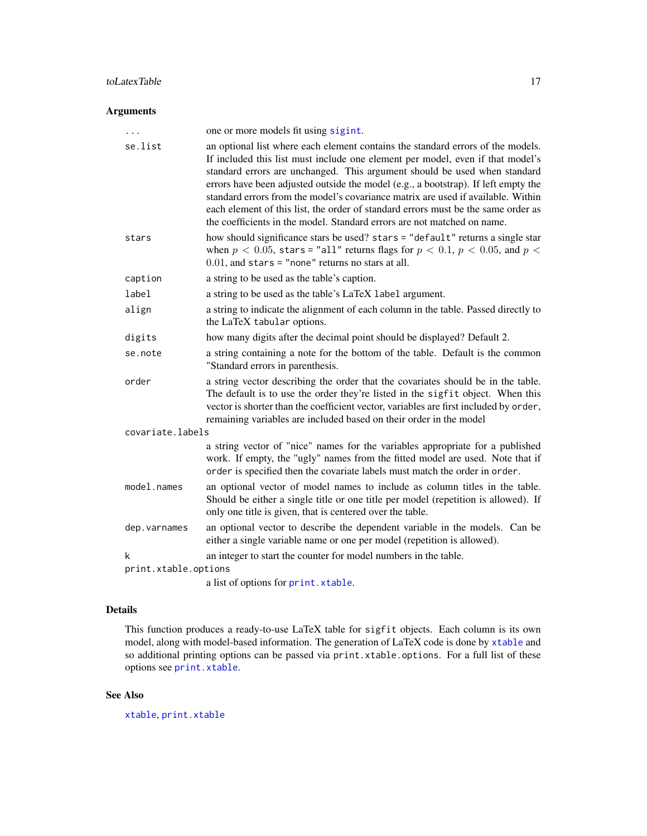#### <span id="page-16-0"></span>toLatexTable 17

#### Arguments

| $\cdots$             | one or more models fit using sigint.                                                                                                                                                                                                                                                                                                                                                                                                                                                                                                                                                     |
|----------------------|------------------------------------------------------------------------------------------------------------------------------------------------------------------------------------------------------------------------------------------------------------------------------------------------------------------------------------------------------------------------------------------------------------------------------------------------------------------------------------------------------------------------------------------------------------------------------------------|
| se.list              | an optional list where each element contains the standard errors of the models.<br>If included this list must include one element per model, even if that model's<br>standard errors are unchanged. This argument should be used when standard<br>errors have been adjusted outside the model (e.g., a bootstrap). If left empty the<br>standard errors from the model's covariance matrix are used if available. Within<br>each element of this list, the order of standard errors must be the same order as<br>the coefficients in the model. Standard errors are not matched on name. |
| stars                | how should significance stars be used? stars = "default" returns a single star<br>when $p < 0.05$ , stars = "all" returns flags for $p < 0.1$ , $p < 0.05$ , and $p <$<br>$0.01$ , and stars = "none" returns no stars at all.                                                                                                                                                                                                                                                                                                                                                           |
| caption              | a string to be used as the table's caption.                                                                                                                                                                                                                                                                                                                                                                                                                                                                                                                                              |
| label                | a string to be used as the table's LaTeX label argument.                                                                                                                                                                                                                                                                                                                                                                                                                                                                                                                                 |
| align                | a string to indicate the alignment of each column in the table. Passed directly to<br>the LaTeX tabular options.                                                                                                                                                                                                                                                                                                                                                                                                                                                                         |
| digits               | how many digits after the decimal point should be displayed? Default 2.                                                                                                                                                                                                                                                                                                                                                                                                                                                                                                                  |
| se.note              | a string containing a note for the bottom of the table. Default is the common<br>"Standard errors in parenthesis.                                                                                                                                                                                                                                                                                                                                                                                                                                                                        |
| order                | a string vector describing the order that the covariates should be in the table.<br>The default is to use the order they're listed in the sigfit object. When this<br>vector is shorter than the coefficient vector, variables are first included by order,<br>remaining variables are included based on their order in the model                                                                                                                                                                                                                                                        |
| covariate.labels     |                                                                                                                                                                                                                                                                                                                                                                                                                                                                                                                                                                                          |
|                      | a string vector of "nice" names for the variables appropriate for a published<br>work. If empty, the "ugly" names from the fitted model are used. Note that if<br>order is specified then the covariate labels must match the order in order.                                                                                                                                                                                                                                                                                                                                            |
| model.names          | an optional vector of model names to include as column titles in the table.<br>Should be either a single title or one title per model (repetition is allowed). If<br>only one title is given, that is centered over the table.                                                                                                                                                                                                                                                                                                                                                           |
| dep.varnames         | an optional vector to describe the dependent variable in the models. Can be<br>either a single variable name or one per model (repetition is allowed).                                                                                                                                                                                                                                                                                                                                                                                                                                   |
| k                    | an integer to start the counter for model numbers in the table.                                                                                                                                                                                                                                                                                                                                                                                                                                                                                                                          |
| print.xtable.options |                                                                                                                                                                                                                                                                                                                                                                                                                                                                                                                                                                                          |
|                      | a list of options for print. xtable.                                                                                                                                                                                                                                                                                                                                                                                                                                                                                                                                                     |

### Details

This function produces a ready-to-use LaTeX table for sigfit objects. Each column is its own model, along with model-based information. The generation of LaTeX code is done by [xtable](#page-0-0) and so additional printing options can be passed via print.xtable.options. For a full list of these options see [print.xtable](#page-0-0).

#### See Also

[xtable](#page-0-0), [print.xtable](#page-0-0)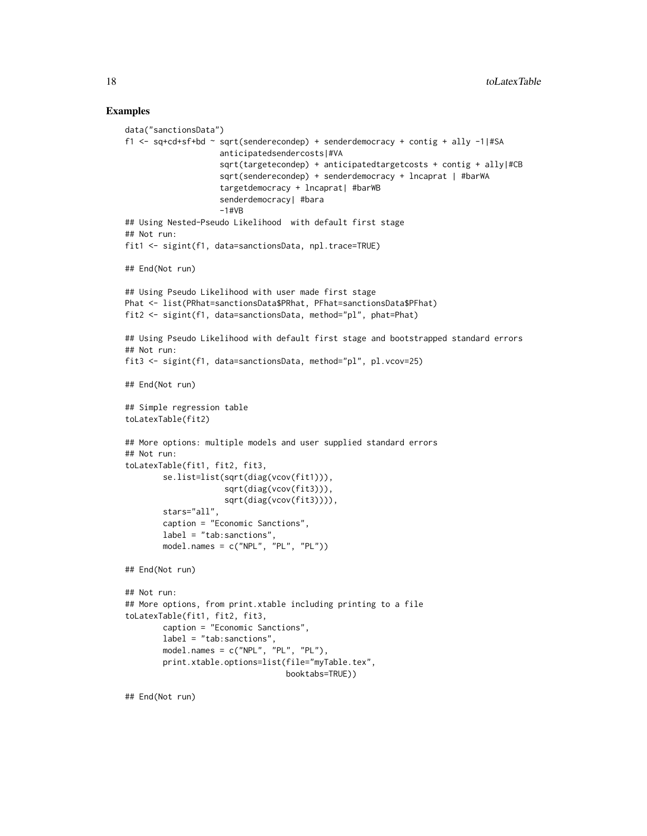#### Examples

```
data("sanctionsData")
f1 <- sq+cd+sf+bd ~ sqrt(senderecondep) + senderdemocracy + contig + ally -1|#SA
                    anticipatedsendercosts|#VA
                    sqrt(targetecondep) + anticipatedtargetcosts + contig + ally|#CB
                    sqrt(senderecondep) + senderdemocracy + lncaprat | #barWA
                    targetdemocracy + lncaprat| #barWB
                    senderdemocracy| #bara
                    -1#VB
## Using Nested-Pseudo Likelihood with default first stage
## Not run:
fit1 <- sigint(f1, data=sanctionsData, npl.trace=TRUE)
## End(Not run)
## Using Pseudo Likelihood with user made first stage
Phat <- list(PRhat=sanctionsData$PRhat, PFhat=sanctionsData$PFhat)
fit2 <- sigint(f1, data=sanctionsData, method="pl", phat=Phat)
## Using Pseudo Likelihood with default first stage and bootstrapped standard errors
## Not run:
fit3 <- sigint(f1, data=sanctionsData, method="pl", pl.vcov=25)
## End(Not run)
## Simple regression table
toLatexTable(fit2)
## More options: multiple models and user supplied standard errors
## Not run:
toLatexTable(fit1, fit2, fit3,
        se.list=list(sqrt(diag(vcov(fit1))),
                     sqrt(diag(vcov(fit3))),
                     sqrt(diag(vcov(fit3)))),
        stars="all",
        caption = "Economic Sanctions",
        label = "tab:sanctions",
        model.names = c("NPL", "PL", "PL"))
## End(Not run)
## Not run:
## More options, from print.xtable including printing to a file
toLatexTable(fit1, fit2, fit3,
       caption = "Economic Sanctions",
       label = "tab:sanctions",
        model.names = c("NPL", "PL", "PL"),
        print.xtable.options=list(file="myTable.tex",
                                  booktabs=TRUE))
## End(Not run)
```